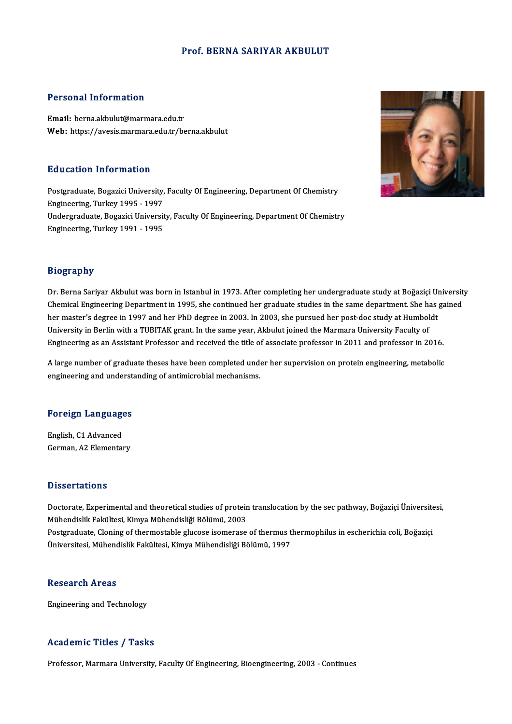#### Prof. BERNA SARIYAR AKBULUT

#### Personal Information

Email: berna.akbulut@marmara.edu.tr Web: https://avesis.marmara.edu.tr/berna.akbulut

#### Education Information

Education Information<br>Postgraduate, Bogazici University, Faculty Of Engineering, Department Of Chemistry<br>Engineering, Turkey 1995 - 1997 Europation Information<br>Postgraduate, Bogazici University,<br>Engineering, Turkey 1995 - 1997 Postgraduate, Bogazici University, Faculty Of Engineering, Department Of Chemistry<br>Engineering, Turkey 1995 - 1997<br>Undergraduate, Bogazici University, Faculty Of Engineering, Department Of Chemistry<br>Engineering, Turkey 199 Engineering, Turkey 1995 - 1997<br>Undergraduate, Bogazici Universit<br>Engineering, Turkey 1991 - 1995 Engineering, Turkey 1991 - 1995<br>Biography



Dr. Berna Sariyar Akbulut was born in Istanbul in 1973. After completing her undergraduate study at Boğaziçi University Dr. Berna Sariyar Akbulut was born in Istanbul in 1973. After completing her undergraduate study at Boğaziçi Universit<br>Chemical Engineering Department in 1995, she continued her graduate studies in the same department. She Dr. Berna Sariyar Akbulut was born in Istanbul in 1973. After completing her undergraduate study at Boğaziçi Un<br>Chemical Engineering Department in 1995, she continued her graduate studies in the same department. She has <sub>i</sub> Chemical Engineering Department in 1995, she continued her graduate studies in the same department. She have master's degree in 1997 and her PhD degree in 2003. In 2003, she pursued her post-doc study at Humbol University her master's degree in 1997 and her PhD degree in 2003. In 2003, she pursued her post-doc study at Humboldt<br>University in Berlin with a TUBITAK grant. In the same year, Akbulut joined the Marmara University Faculty of<br>Engi

Engineering as an Assistant Professor and received the title of associate professor in 2011 and professor in 2016.<br>A large number of graduate theses have been completed under her supervision on protein engineering, metabol A large number of graduate theses have been completed under her supervision on protein engineering, metabolic<br>engineering and understanding of antimicrobial mechanisms.

# engmeering and undersu<br>Foreign Languages

**Foreign Language<br>English, C1 Advanced<br>Corman A2 Elemental** English, C1 Advanced<br>German, A2 Elementary

#### **Dissertations**

Doctorate, Experimental and theoretical studies of protein translocation by the sec pathway, Boğaziçi Üniversitesi, Mühendislik Fakültesi, Kimya Mühendisliği Bölümü, 2003 Doctorate, Experimental and theoretical studies of protein translocation by the sec pathway, Boğaziçi Üniversite<br>Mühendislik Fakültesi, Kimya Mühendisliği Bölümü, 2003<br>Postgraduate, Cloning of thermostable glucose isomeras Mühendislik Fakültesi, Kimya Mühendisliği Bölümü, 2003<br>Postgraduate, Cloning of thermostable glucose isomerase of thermus t<br>Üniversitesi, Mühendislik Fakültesi, Kimya Mühendisliği Bölümü, 1997 Üniversitesi, Mühendislik Fakültesi, Kimya Mühendisliği Bölümü, 1997<br>Research Areas

Engineering and Technology

#### Academic Titles / Tasks

Professor, Marmara University, Faculty Of Engineering, Bioengineering, 2003 - Continues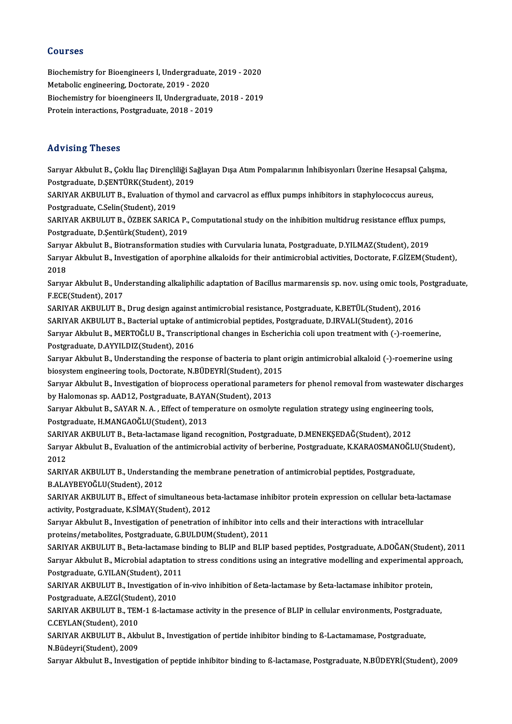#### Courses

Courses<br>Biochemistry for Bioengineers I, Undergraduate, 2019 - 2020<br>Metabelis engineering, Desterate, 2019, 2020 Sourbes<br>Biochemistry for Bioengineers I, Undergraduat<br>Metabolic engineering, Doctorate, 2019 - 2020<br>Biochemistry for bioengineers II, Undergraduat Biochemistry for Bioengineers I, Undergraduate, 2019 - 2020<br>Metabolic engineering, Doctorate, 2019 - 2020<br>Biochemistry for bioengineers II, Undergraduate, 2018 - 2019<br>Pretein interactions, Postareduate, 2018 - 2019 Metabolic engineering, Doctorate, 2019 - 2020<br>Biochemistry for bioengineers II, Undergraduate<br>Protein interactions, Postgraduate, 2018 - 2019 Protein interactions, Postgraduate, 2018 - 2019<br>Advising Theses

Advising Theses<br>Sarıyar Akbulut B., Çoklu İlaç Dirençliliği Sağlayan Dışa Atım Pompalarının İnhibisyonları Üzerine Hesapsal Çalışma,<br>Postaraduata D.SENTÜRK(Student), 2019 raa viering viroooo<br>Sariyar Akbulut B., Çoklu İlaç Dirençliliği Sa<br>Postgraduate, D.ŞENTÜRK(Student), 2019<br>SARIYAR AKRULUT B., Evaluation of thumo Sarıyar Akbulut B., Çoklu İlaç Dirençliliği Sağlayan Dışa Atım Pompalarının İnhibisyonları Üzerine Hesapsal Çalış<br>Postgraduate, D.ŞENTÜRK(Student), 2019<br>SARIYAR AKBULUT B., Evaluation of thymol and carvacrol as efflux pump

Postgraduate, D.ŞENTÜRK(Student), 2019<br>SARIYAR AKBULUT B., Evaluation of thymol and carvacrol as efflux pumps inhibitors in staphylococcus aureus,<br>Postgraduate, C.Selin(Student), 2019 SARIYAR AKBULUT B., Evaluation of thymol and carvacrol as efflux pumps inhibitors in staphylococcus aureus,<br>Postgraduate, C.Selin(Student), 2019<br>SARIYAR AKBULUT B., ÖZBEK SARICA P., Computational study on the inhibition mu

Postgraduate, C.Selin(Student), 2019<br>SARIYAR AKBULUT B., ÖZBEK SARICA P.,<br>Postgraduate, D.Şentürk(Student), 2019<br>Sarurar Althulut B. Bistransformation stu SARIYAR AKBULUT B., ÖZBEK SARICA P., Computational study on the inhibition multidrug resistance efflux pur<br>Postgraduate, D.Şentürk(Student), 2019<br>Sarıyar Akbulut B., Biotransformation studies with Curvularia lunata, Postgr

Postgraduate, D.Şentürk(Student), 2019<br>Sarıyar Akbulut B., Biotransformation studies with Curvularia lunata, Postgraduate, D.YILMAZ(Student), 2019<br>Sarıyar Akbulut B., Investigation of aporphine alkaloids for their antimicr Sariya<br>Sariya<br>2018 Sarıyar Akbulut B., Investigation of aporphine alkaloids for their antimicrobial activities, Doctorate, F.GİZEM(Student),<br>2018<br>Sarıyar Akbulut B., Understanding alkaliphilic adaptation of Bacillus marmarensis sp. nov. usin

2018<br>Sarıyar Akbulut B., Uno<br>F.ECE(Student), 2017<br>SARIYAR A*V*RIILLIT B Sarıyar Akbulut B., Understanding alkaliphilic adaptation of Bacillus marmarensis sp. nov. using omic tools, P<br>F.ECE(Student), 2017<br>SARIYAR AKBULUT B., Drug design against antimicrobial resistance, Postgraduate, K.BETÜL(St

F.ECE(Student), 2017<br>SARIYAR AKBULUT B., Drug design against antimicrobial resistance, Postgraduate, K.BETÜL(Student), 2016<br>SARIYAR AKBULUT B., Bacterial uptake of antimicrobial peptides, Postgraduate, D.IRVALI(Student), 2 SARIYAR AKBULUT B., Drug design against antimicrobial resistance, Postgraduate, K.BETÜL(Student), 2016<br>SARIYAR AKBULUT B., Bacterial uptake of antimicrobial peptides, Postgraduate, D.IRVALI(Student), 2016<br>Sarıyar Akbulut B

SARIYAR AKBULUT B., Bacterial uptake of a<br>Sarıyar Akbulut B., MERTOĞLU B., Transcri<br>Postgraduate, D.AYYILDIZ(Student), 2016<br>Sarurar Akbulut B. Understanding the reap Sarıyar Akbulut B., MERTOĞLU B., Transcriptional changes in Escherichia coli upon treatment with (-)-roemerine,<br>Postgraduate, D.AYYILDIZ(Student), 2016<br>Sarıyar Akbulut B., Understanding the response of bacteria to plant or

Postgraduate, D.AYYILDIZ(Student), 2016<br>Sarıyar Akbulut B., Understanding the response of bacteria to plant of<br>biosystem engineering tools, Doctorate, N.BÜDEYRİ(Student), 2015<br>Saruyar Akbulut B., Investigation of bionroges Sarıyar Akbulut B., Understanding the response of bacteria to plant origin antimicrobial alkaloid (-)-roemerine using<br>biosystem engineering tools, Doctorate, N.BÜDEYRİ(Student), 2015<br>Sarıyar Akbulut B., Investigation of bi

biosystem engineering tools, Doctorate, N.BÜDEYRİ(Student), 2015<br>Sarıyar Akbulut B., Investigation of bioprocess operational parameters for phenol removal from wastewater discharges<br>by Halomonas sp. AAD12, Postgraduate, B. Sarıyar Akbulut B., Investigation of bioprocess operational parameters for phenol removal from wastewater dis<br>by Halomonas sp. AAD12, Postgraduate, B.AYAN(Student), 2013<br>Sarıyar Akbulut B., SAYAR N. A. , Effect of temperat

by Halomonas sp. AAD12, Postgraduate, B.AYA<br>Sarıyar Akbulut B., SAYAR N. A. , Effect of temp<br>Postgraduate, H.MANGAOĞLU(Student), 2013<br>SARIYAR AKRULUT R. Peta lastamase ligand r Sarıyar Akbulut B., SAYAR N. A. , Effect of temperature on osmolyte regulation strategy using engineering<br>Postgraduate, H.MANGAOĞLU(Student), 2013<br>SARIYAR AKBULUT B., Beta-lactamase ligand recognition, Postgraduate, D.MENE

Postgraduate, H.MANGAOĞLU(Student), 2013<br>SARIYAR AKBULUT B., Beta-lactamase ligand recognition, Postgraduate, D.MENEKŞEDAĞ(Student), 2012<br>Sarıyar Akbulut B., Evaluation of the antimicrobial activity of berberine, Postgradu SARIY<br>Sariya<br>2012<br>SARIY Sarıyar Akbulut B., Evaluation of the antimicrobial activity of berberine, Postgraduate, K.KARAOSMANOĞL<br>2012<br>SARIYAR AKBULUT B., Understanding the membrane penetration of antimicrobial peptides, Postgraduate,<br>P.ALAYPEYOĞLU

2012<br>SARIYAR AKBULUT B., Understanding the membrane penetration of antimicrobial peptides, Postgraduate,<br>B.ALAYBEYOĞLU(Student), 2012 SARIYAR AKBULUT B., Understanding the membrane penetration of antimicrobial peptides, Postgraduate,<br>B.ALAYBEYOĞLU(Student), 2012<br>SARIYAR AKBULUT B., Effect of simultaneous beta-lactamase inhibitor protein expression on cel

B.ALAYBEYOĞLU(Student), 2012<br>SARIYAR AKBULUT B., Effect of simultaneous be<br>activity, Postgraduate, K.SİMAY(Student), 2012<br>Sarvar Althulut B. Investisation of penetration SARIYAR AKBULUT B., Effect of simultaneous beta-lactamase inhibitor protein expression on cellular beta-lactivity, Postgraduate, K.SİMAY(Student), 2012<br>Sarıyar Akbulut B., Investigation of penetration of inhibitor into cel

activity, Postgraduate, K.SİMAY(Student), 2012<br>Sarıyar Akbulut B., Investigation of penetration of inhibitor into cells and their interactions with intracellular<br>proteins/metabolites, Postgraduate, G.BULDUM(Student), 2011

SARIYAR AKBULUT B., Beta-lactamase binding to BLIP and BLIP based peptides, Postgraduate, A.DOĞAN(Student), 2011 proteins/metabolites, Postgraduate, G.BULDUM(Student), 2011<br>SARIYAR AKBULUT B., Beta-lactamase binding to BLIP and BLIP based peptides, Postgraduate, A.DOĞAN(Student), 2011<br>Sarıyar Akbulut B., Microbial adaptation to stres SARIYAR AKBULUT B., Beta-lactamase b<br>Sarıyar Akbulut B., Microbial adaptatior<br>Postgraduate, G.YILAN(Student), 2011<br>SARIYAR AKRULUT B. Investigation of i Sarıyar Akbulut B., Microbial adaptation to stress conditions using an integrative modelling and experimental a<br>Postgraduate, G.YILAN(Student), 2011<br>SARIYAR AKBULUT B., Investigation of in-vivo inhibition of ßeta-lactamase

Postgraduate, G.YILAN(Student), 2011<br>SARIYAR AKBULUT B., Investigation o<br>Postgraduate, A.EZGİ(Student), 2010<br>SARIYAR AKRIJI UT R., TEM 1.6 lastan SARIYAR AKBULUT B., Investigation of in-vivo inhibition of ßeta-lactamase by ßeta-lactamase inhibitor protein,<br>Postgraduate, A.EZGİ(Student), 2010<br>SARIYAR AKBULUT B., TEM-1 ß-lactamase activity in the presence of BLIP in c

Postgraduate, A.EZGİ(Student)<br>SARIYAR AKBULUT B., TEM<br>C.CEYLAN(Student), 2010<br>SARIYAR AKBULUT B. Akb SARIYAR AKBULUT B., TEM-1 ß-lactamase activity in the presence of BLIP in cellular environments, Postgradu<br>C.CEYLAN(Student), 2010<br>SARIYAR AKBULUT B., Akbulut B., Investigation of pertide inhibitor binding to ß-Lactamamase

C.CEYLAN(Student), 2010<br>SARIYAR AKBULUT B., Akb<br>N.Büdeyri(Student), 2009<br>Sarvar Alsbulut B. Javastia SARIYAR AKBULUT B., Akbulut B., Investigation of pertide inhibitor binding to ß-Lactamamase, Postgraduate,<br>N.Büdeyri(Student), 2009<br>Sarıyar Akbulut B., Investigation of peptide inhibitor binding to ß-lactamase, Postgraduat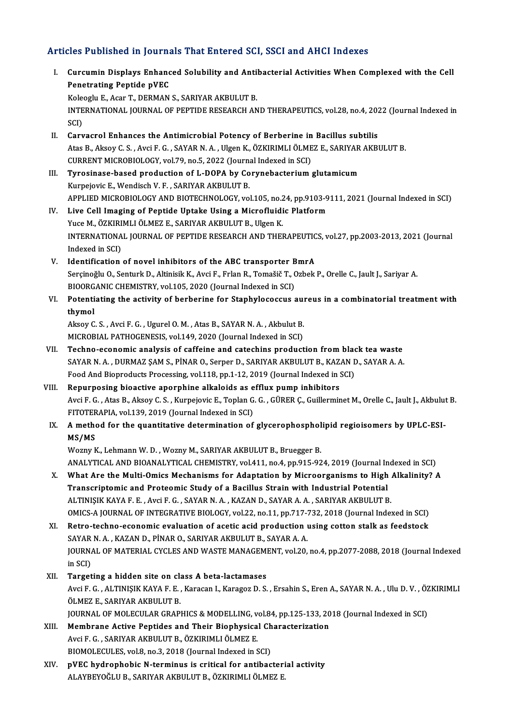## Articles Published in Journals That Entered SCI, SSCI and AHCI Indexes

rticles Published in Journals That Entered SCI, SSCI and AHCI Indexes<br>I. Curcumin Displays Enhanced Solubility and Antibacterial Activities When Complexed with the Cell<br>Renetrating Pentide pVFC Penetrating Peptide pVEC<br>Penetrating Peptide pVEC<br>Penetrating Peptide pVEC Curcumin Displays Enhanced Solubility and Antil<br>Penetrating Peptide pVEC<br>Koleoglu E., Acar T., DERMAN S., SARIYAR AKBULUT B.<br>INTERNATIONAL JOURNAL OF REPTIDE RESEARCH AN

Penetrating Peptide pVEC<br>Koleoglu E., Acar T., DERMAN S., SARIYAR AKBULUT B.<br>INTERNATIONAL JOURNAL OF PEPTIDE RESEARCH AND THERAPEUTICS, vol.28, no.4, 2022 (Journal Indexed in<br>SCI) Kole<br>INTE<br>SCI)<br>Corv

- II. Carvacrol Enhances the Antimicrobial Potency of Berberine in Bacillus subtilis SCI)<br>Carvacrol Enhances the Antimicrobial Potency of Berberine in Bacillus subtilis<br>Atas B., Aksoy C. S. , Avci F. G. , SAYAR N. A. , Ulgen K., ÖZKIRIMLI ÖLMEZ E., SARIYAR AKBULUT B.<br>CURRENT MICRORIOLOCY vol 79 ne 5–2022 ( Carvacrol Enhances the Antimicrobial Potency of Berberine in<br>Atas B., Aksoy C. S. , Avci F. G. , SAYAR N. A. , Ulgen K., ÖZKIRIMLI ÖLME<br>CURRENT MICROBIOLOGY, vol.79, no.5, 2022 (Journal Indexed in SCI)<br>Tunesinese based pro Atas B., Aksoy C. S., Avci F. G., SAYAR N. A., Ulgen K., ÖZKIRIMLI ÖLMEZ E., SARIYAR<br>CURRENT MICROBIOLOGY, vol.79, no.5, 2022 (Journal Indexed in SCI)<br>III. Tyrosinase-based production of L-DOPA by Corynebacterium glutamicu
- CURRENT MICROBIOLOGY, vol.79, no.5, 2022 (Journal Indexed in SCI)<br>Tyrosinase-based production of L-DOPA by Corynebacterium glutamicum<br>Kurpejovic E., Wendisch V. F. , SARIYAR AKBULUT B. APPLIED MICROBIOLOGY AND BIOTECHNOLOGY, vol.105, no.24, pp.9103-9111, 2021 (Journal Indexed in SCI) Kurpejovic E., Wendisch V. F., SARIYAR AKBULUT B.<br>APPLIED MICROBIOLOGY AND BIOTECHNOLOGY, vol.105, no.24, pp.9103-9<br>IV. Live Cell Imaging of Peptide Uptake Using a Microfluidic Platform<br>Vuce M. ÖZKIBIMLI ÖLMEZ E. SABIYAR A
- APPLIED MICROBIOLOGY AND BIOTECHNOLOGY, vol.105, no.2<br>Live Cell Imaging of Peptide Uptake Using a Microfluidi<br>Yuce M., ÖZKIRIMLI ÖLMEZ E., SARIYAR AKBULUT B., Ulgen K.<br>INTERNATIONAL JOURNAL OF RERTIDE RESEARCH AND THEI INTERNATIONAL JOURNAL OF PEPTIDE RESEARCH AND THERAPEUTICS, vol.27, pp.2003-2013, 2021 (Journal Indexed in SCI) Yuce M., ÖZKIRIMLI ÖLMEZ E., SARIYAR AKBULUT B., Ulgen K.
- V. Identification of novel inhibitors of the ABC transporter BmrA Serçinoğlu O., Senturk D., Altinisik K., Avci F., Frlan R., Tomašič T., Ozbek P., Orelle C., Jault J., Sariyar A. Identification of novel inhibitors of the ABC transporter B<br>Serçinoğlu O., Senturk D., Altinisik K., Avci F., Frlan R., Tomašič T., (<br>BIOORGANIC CHEMISTRY, vol.105, 2020 (Journal Indexed in SCI)<br>Petentisting the estivity o
- VI. Potentiating the activity of berberine for Staphylococcus aureus in a combinatorial treatment with thymol BIOORG<br>Potenti<br>thymol<br>Alrey G Potentiating the activity of berberine for Staphylococcus au:<br>thymol<br>Aksoy C. S. , Avci F. G. , Ugurel O. M. , Atas B., SAYAR N. A. , Akbulut B.<br>MICROPIAL BATHOCENESIS .vol.149, 2020 (Journal Indoved in SCD)

thymol<br>Aksoy C. S. , Avci F. G. , Ugurel O. M. , Atas B., SAYAR N. A. , Akbulut B.<br>MICROBIAL PATHOGENESIS, vol.149, 2020 (Journal Indexed in SCI)<br>Teshne, esenemis analysis of saffaine and sateshins anadyst

- MICROBIAL PATHOGENESIS, vol.149, 2020 (Journal Indexed in SCI)<br>VII. Techno-economic analysis of caffeine and catechins production from black tea waste MICROBIAL PATHOGENESIS, vol.149, 2020 (Journal Indexed in SCI)<br>Techno-economic analysis of caffeine and catechins production from black tea waste<br>SAYAR N. A. , DURMAZ ŞAM S., PİNAR O., Serper D., SARIYAR AKBULUT B., KAZAN Techno-economic analysis of caffeine and catechins production from black<br>SAYAR N. A. , DURMAZ ŞAM S., PİNAR O., Serper D., SARIYAR AKBULUT B., KAZAN L<br>Food And Bioproducts Processing, vol.118, pp.1-12, 2019 (Journal Indexe SAYAR N. A., DURMAZ ŞAM S., PİNAR O., Serper D., SARIYAR AKBULUT B., KAZ.<br>Food And Bioproducts Processing, vol.118, pp.1-12, 2019 (Journal Indexed in 5<br>VIII. Repurposing bioactive aporphine alkaloids as efflux pump inhibit
- Food And Bioproducts Processing, vol.118, pp.1-12, 2019 (Journal Indexed in SCI)<br>Repurposing bioactive aporphine alkaloids as efflux pump inhibitors<br>Avci F. G. , Atas B., Aksoy C. S. , Kurpejovic E., Toplan G. G. , GÜRER Ç Repurposing bioactive aporphine alkaloids as e<br>Avci F. G. , Atas B., Aksoy C. S. , Kurpejovic E., Toplan G<br>FITOTERAPIA, vol.139, 2019 (Journal Indexed in SCI)<br>A method for the quantitative determination of Avci F. G. , Atas B., Aksoy C. S. , Kurpejovic E., Toplan G. G. , GÜRER Ç., Guillerminet M., Orelle C., Jault J., Akbulu<br>FITOTERAPIA, vol.139, 2019 (Journal Indexed in SCI)<br>IX. A method for the quantitative determination o
- FITOTER<br>A metho<br>MS/MS<br><sup>Morny B</sup> A method for the quantitative determination of glycerophosphol<br>MS/MS<br>Wozny K., Lehmann W. D. , Wozny M., SARIYAR AKBULUT B., Bruegger B.<br>ANALYTICAL AND BIOANALYTICAL CHEMISTRY vol.411, no.4, np.915.93

MS/MS<br>Wozny K., Lehmann W. D. , Wozny M., SARIYAR AKBULUT B., Bruegger B.<br>ANALYTICAL AND BIOANALYTICAL CHEMISTRY, vol.411, no.4, pp.915-924, 2019 (Journal Indexed in SCI) Wozny K., Lehmann W. D., Wozny M., SARIYAR AKBULUT B., Bruegger B.<br>ANALYTICAL AND BIOANALYTICAL CHEMISTRY, vol.411, no.4, pp.915-924, 2019 (Journal Indexed in SCI)<br>X. What Are the Multi-Omics Mechanisms for Adaptation by M

Transcriptomic and Proteomic Study of a Bacillus Strain with Industrial Potential<br>ALTINIȘIK KAYA F. E., Avci F. G., SAYAR N. A., KAZAN D., SAYAR A. A., SARIYAR AKBULUT B. What Are the Multi-Omics Mechanisms for Adaptation by Microorganisms to High<br>Transcriptomic and Proteomic Study of a Bacillus Strain with Industrial Potential<br>ALTINIȘIK KAYA F. E. , Avci F. G. , SAYAR N. A. , KAZAN D., SAY Transcriptomic and Proteomic Study of a Bacillus Strain with Industrial Potential<br>ALTINIȘIK KAYA F. E. , Avci F. G. , SAYAR N. A. , KAZAN D., SAYAR A. A. , SARIYAR AKBULUT B.<br>OMICS-A JOURNAL OF INTEGRATIVE BIOLOGY, vol.22, ALTINIŞIK KAYA F. E., Avci F. G., SAYAR N. A., KAZAN D., SAYAR A. A., SARIYAR AKBULUT B.<br>OMICS-A JOURNAL OF INTEGRATIVE BIOLOGY, vol.22, no.11, pp.717-732, 2018 (Journal Indexed in SCI)<br>XI. Retro-techno-economic evaluation

OMICS-A JOURNAL OF INTEGRATIVE BIOLOGY, vol.22, no.11, pp.717-7<br>Retro-techno-economic evaluation of acetic acid production<br>SAYAR N. A. , KAZAN D., PİNAR O., SARIYAR AKBULUT B., SAYAR A. A.<br>JOURNAL OE MATERIAL CYCLES AND WA XI. Retro-techno-economic evaluation of acetic acid production using cotton stalk as feedstock<br>SAYAR N. A., KAZAN D., PİNAR O., SARIYAR AKBULUT B., SAYAR A. A.<br>JOURNAL OF MATERIAL CYCLES AND WASTE MANAGEMENT, vol.20, no.4, SAYAR N. A., KAZAN D., PİNAR O., SARIYAR AKBULUT B., SAYAR A. A.

- XII. Targeting a hidden site on class A beta-lactamases in SCI)<br>Targeting a hidden site on class A beta-lactamases<br>Avci F. G. , ALTINIŞIK KAYA F. E. , Karacan I., Karagoz D. S. , Ersahin S., Eren A., SAYAR N. A. , Ulu D. V. , ÖZKIRIMLI<br>ÖLMEZ E. SARIYAR AKRULUTR Targeting a hidden site on cl:<br>Avci F. G. , ALTINIŞIK KAYA F. E. ,<br>ÖLMEZ E., SARIYAR AKBULUT B.<br>JOUPNAL OF MOLECULAR CRAP. Avci F. G. , ALTINIŞIK KAYA F. E. , Karacan I., Karagoz D. S. , Ersahin S., Eren A., SAYAR N. A. , Ulu D. V. , ÖZ<br>ÖLMEZ E., SARIYAR AKBULUT B.<br>JOURNAL OF MOLECULAR GRAPHICS & MODELLING, vol.84, pp.125-133, 2018 (Journal In ÖLMEZ E., SARIYAR AKBULUT B.<br>JOURNAL OF MOLECULAR GRAPHICS & MODELLING, vol.84, pp.125-133, 20<br>XIII. Membrane Active Peptides and Their Biophysical Characterization
- JOURNAL OF MOLECULAR GRAPHICS & MODELLING, v<br>Membrane Active Peptides and Their Biophysica<br>Avci F. G. , SARIYAR AKBULUT B., ÖZKIRIMLI ÖLMEZ E.<br>PIOMOLECULES vol 8 no 2, 2018 (Journal Indoved in S Membrane Active Peptides and Their Biophysical Ch<br>Avci F. G. , SARIYAR AKBULUT B., ÖZKIRIMLI ÖLMEZ E.<br>BIOMOLECULES, vol.8, no.3, 2018 (Journal Indexed in SCI)<br>n<sup>VEC</sup> bydrophebic N terminus is exitical for antibas Avci F. G., SARIYAR AKBULUT B., ÖZKIRIMLI ÖLMEZ E.<br>BIOMOLECULES, vol.8, no.3, 2018 (Journal Indexed in SCI)<br>XIV. pVEC hydrophobic N-terminus is critical for antibacterial activity<br>ALAYBEVOČLU B. SARIYAR AKBULUT B. ÖZKIRIML
- BIOMOLECULES, vol.8, no.3, 2018 (Journal Indexed in SCI)<br><mark>pVEC hydrophobic N-terminus is critical for antibacteri</mark><br>ALAYBEYOĞLU B., SARIYAR AKBULUT B., ÖZKIRIMLI ÖLMEZ E.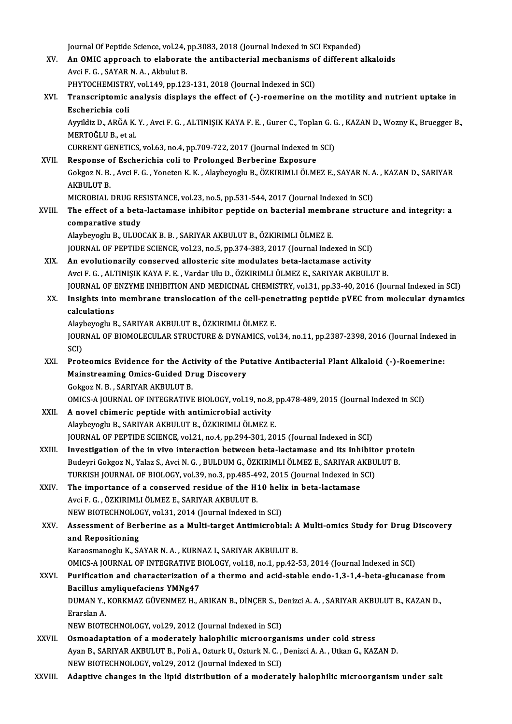Journal Of Peptide Science, vol.24, pp.3083, 2018 (Journal Indexed in SCI Expanded)<br>An OMIC annuageb to elaborate the antibactorial mechanisms of different o

- Journal Of Peptide Science, vol.24, pp.3083, 2018 (Journal Indexed in SCI Expanded)<br>XV. An OMIC approach to elaborate the antibacterial mechanisms of different alkaloids Journal Of Peptide Science, vol.24, <sub>]</sub><br>An OMIC approach to elaborat<br>Avci F. G. , SAYAR N. A. , Akbulut B.<br>PHYTOCHEMISTPV vol.140 pp.123 An OMIC approach to elaborate the antibacterial mechanisms of Avci F. G., SAYAR N. A., Akbulut B.<br>PHYTOCHEMISTRY, vol.149, pp.123-131, 2018 (Journal Indexed in SCI)<br>Transcriptoria analysis displays the effect of ( ) reamer PHYTOCHEMISTRY, vol.149, pp.123-131, 2018 (Journal Indexed in SCI)
- Avci F. G. , SAYAR N. A. , Akbulut B.<br>PHYTOCHEMISTRY, vol.149, pp.123-131, 2018 (Journal Indexed in SCI)<br>XVI. Transcriptomic analysis displays the effect of (-)-roemerine on the motility and nutrient uptake in<br>Escheric

Transcriptomic analysis displays the effect of (-)-roemerine on the motility and nutrient uptake in<br>Escherichia coli<br>Ayyildiz D., ARĞA K.Y. , Avci F. G. , ALTINIŞIK KAYA F. E. , Gurer C., Toplan G. G. , KAZAN D., Wozny K., Escherichia coli<br>Ayyildiz D., ARĞA K.<br>MERTOĞLU B., et al.<br>CUPPENT CENETICS Ayyildiz D., ARĞA K. Y. , Avci F. G. , ALTINIŞIK KAYA F. E. , Gurer C., Toplan G. C<br>MERTOĞLU B., et al.<br>CURRENT GENETICS, vol.63, no.4, pp.709-722, 2017 (Journal Indexed in SCI)<br>Bespense of Escharishia soli to Prolonged Be

MERTOĞLU B., et al.<br>CURRENT GENETICS, vol.63, no.4, pp.709-722, 2017 (Journal Indexed in<br>XVII. Response of Escherichia coli to Prolonged Berberine Exposure CURRENT GENETICS, vol.63, no.4, pp.709-722, 2017 (Journal Indexed in SCI)<br>Response of Escherichia coli to Prolonged Berberine Exposure<br>Gokgoz N. B. , Avci F. G. , Yoneten K. K. , Alaybeyoglu B., ÖZKIRIMLI ÖLMEZ E., SAYAR N Response<br>Gokgoz N. B.<br>AKBULUT B.<br>MICROPIAL Gokgoz N. B. , Avci F. G. , Yoneten K. K. , Alaybeyoglu B., ÖZKIRIMLI ÖLMEZ E., SAYAR N. A<br>AKBULUT B.<br>MICROBIAL DRUG RESISTANCE, vol.23, no.5, pp.531-544, 2017 (Journal Indexed in SCI)<br>The effect of a bata lastamase inhibi AKBULUT B.<br>MICROBIAL DRUG RESISTANCE, vol.23, no.5, pp.531-544, 2017 (Journal Indexed in SCI)<br>XVIII. The effect of a beta-lactamase inhibitor peptide on bacterial membrane structure and integrity: a<br>componetive study

# MICROBIAL DRUG RE<br>The effect of a beta<br>comparative study<br>Alayhayagh: B. III IIO The effect of a beta-lactamase inhibitor peptide on bacterial membr<br>comparative study<br>Alaybeyoglu B., ULUOCAK B. B. , SARIYAR AKBULUT B., ÖZKIRIMLI ÖLMEZ E.<br>JOUPMAL OF PEPTIDE SCIENCE vol 22, no 5, np 274, 282, 2017 (Journ

comparative study<br>Alaybeyoglu B., ULUOCAK B. B. , SARIYAR AKBULUT B., ÖZKIRIMLI ÖLMEZ E.<br>JOURNAL OF PEPTIDE SCIENCE, vol.23, no.5, pp.374-383, 2017 (Journal Indexed in SCI)

XIX. An evolutionarily conserved allosteric site modulates beta-lactamase activity AvciF.G. ,ALTINIŞIKKAYAF.E. ,VardarUluD.,ÖZKIRIMLIÖLMEZ E.,SARIYARAKBULUTB. An evolutionarily conserved allosteric site modulates beta-lactamase activity<br>Avci F. G. , ALTINIȘIK KAYA F. E. , Vardar Ulu D., ÖZKIRIMLI ÖLMEZ E., SARIYAR AKBULUT B.<br>JOURNAL OF ENZYME INHIBITION AND MEDICINAL CHEMISTRY, Avci F. G. , ALTINIŞIK KAYA F. E. , Vardar Ulu D., ÖZKIRIMLI ÖLMEZ E., SARIYAR AKBULUT B.<br>JOURNAL OF ENZYME INHIBITION AND MEDICINAL CHEMISTRY, vol.31, pp.33-40, 2016 (Journal Indexed in SCI)<br>XX. Insights into membrane tra

# **JOURNAL OF I**<br>Insights into<br>calculations Insights into membrane translocation of the cell-pene<br>calculations<br>Alaybeyoglu B., SARIYAR AKBULUT B., ÖZKIRIMLI ÖLMEZ E.<br>JOUPNAL OF PJOMOLECULAR STRUCTURE & DYNAMICS vol

calculations<br>Alaybeyoglu B., SARIYAR AKBULUT B., ÖZKIRIMLI ÖLMEZ E.<br>JOURNAL OF BIOMOLECULAR STRUCTURE & DYNAMICS, vol.34, no.11, pp.2387-2398, 2016 (Journal Indexed in<br>SCD Alayl<br>JOUR<br>SCI)<br>Prot JOURNAL OF BIOMOLECULAR STRUCTURE & DYNAMICS, vol.34, no.11, pp.2387-2398, 2016 (Journal Indexed<br>SCI)<br>XXI. Proteomics Evidence for the Activity of the Putative Antibacterial Plant Alkaloid (-)-Roemerine:<br>Mainstreaming Omis

SCI)<br>Proteomics Evidence for the Activity of the Pu<br>Mainstreaming Omics-Guided Drug Discovery<br>Cokses N P - SARIVAR AKRULUTER Proteomics Evidence for the Act<br>Mainstreaming Omics-Guided Dr<br>Gokgoz N. B. , SARIYAR AKBULUT B.<br>OMICS A JOURNAL OF INTECRATIVE Mainstreaming Omics-Guided Drug Discovery<br>Gokgoz N. B. , SARIYAR AKBULUT B.<br>OMICS-A JOURNAL OF INTEGRATIVE BIOLOGY, vol.19, no.8, pp.478-489, 2015 (Journal Indexed in SCI)<br>A novel shimaris pantide with antimierabiel activi

- Gokgoz N. B., SARIYAR AKBULUT B.<br>
OMICS-A JOURNAL OF INTEGRATIVE BIOLOGY, vol.19, no.8, <br>
XXII. A novel chimeric peptide with antimicrobial activity<br>
Alaybeyoglu B., SARIYAR AKBULUT B., ÖZKIRIMLI ÖLMEZ E. OMICS-A JOURNAL OF INTEGRATIVE BIOLOGY, vol.19, no.8, <sub>J</sub><br>A novel chimeric peptide with antimicrobial activity<br>Alaybeyoglu B., SARIYAR AKBULUT B., ÖZKIRIMLI ÖLMEZ E.<br>JOUPNAL OF PEPTIDE SCIENCE, vol.21, no.4, np.204, 201, 2 JOURNAL OF PEPTIDE SCIENCE, vol.21, no.4, pp.294-301, 2015 (Journal Indexed in SCI)
- Alaybeyoglu B., SARIYAR AKBULUT B., ÖZKIRIMLI ÖLMEZ E.<br>JOURNAL OF PEPTIDE SCIENCE, vol.21, no.4, pp.294-301, 2015 (Journal Indexed in SCI)<br>XXIII. Investigation of the in vivo interaction between beta-lactamase and its inhi JOURNAL OF PEPTIDE SCIENCE, vol.21, no.4, pp.294-301, 2015 (Journal Indexed in SCI)<br>Investigation of the in vivo interaction between beta-lactamase and its inhibitor pro<br>Budeyri Gokgoz N., Yalaz S., Avci N. G. , BULDUM G., Investigation of the in vivo interaction between beta-lactamase and its inhibite<br>Budeyri Gokgoz N., Yalaz S., Avci N. G. , BULDUM G., ÖZKIRIMLI ÖLMEZ E., SARIYAR AKBU<br>TURKISH JOURNAL OF BIOLOGY, vol.39, no.3, pp.485-492, 2 Budeyri Gokgoz N., Yalaz S., Avci N. G., BULDUM G., ÖZKIRIMLI ÖLMEZ E., SARIYAR A<br>TURKISH JOURNAL OF BIOLOGY, vol.39, no.3, pp.485-492, 2015 (Journal Indexed in 5<br>XXIV. The importance of a conserved residue of the H10 heli
- TURKISH JOURNAL OF BIOLOGY, vol.39, no.3, pp.485-4<br>The importance of a conserved residue of the H:<br>Avci F. G. , ÖZKIRIMLI ÖLMEZ E., SARIYAR AKBULUT B.<br>NEW PIOTECHNOLOCY vol.31, 2014 (Journal Indoved The importance of a conserved residue of the H10 heli<br>Avci F. G. , ÖZKIRIMLI ÖLMEZ E., SARIYAR AKBULUT B.<br>NEW BIOTECHNOLOGY, vol.31, 2014 (Journal Indexed in SCI)<br>Assessment of Perberine as a Multi target Antimisrebii
- Avci F. G. , ÖZKIRIMLI ÖLMEZ E., SARIYAR AKBULUT B.<br>NEW BIOTECHNOLOGY, vol.31, 2014 (Journal Indexed in SCI)<br>XXV. Assessment of Berberine as a Multi-target Antimicrobial: A Multi-omics Study for Drug Discovery<br>and Repositi NEW BIOTECHNOLO<br>Assessment of Bernand Repositioning and Repositioning<br>Karaosmanoglu K., SAYAR N. A. , KURNAZ I., SARIYAR AKBULUT B.<br>OMICS-A JOURNAL OF INTEGRATIVE BIOLOGY, vol.18, no.1, pp.42-53, 2014 (Journal Indexed in SCI)<br>Purification and characterization of a therme an

Karaosmanoglu K., SAYAR N. A., KURNAZ I., SARIYAR AKBULUT B.

# Karaosmanoglu K., SAYAR N. A. , KURNAZ I., SARIYAR AKBULUT B.<br>OMICS-A JOURNAL OF INTEGRATIVE BIOLOGY, vol.18, no.1, pp.42-53, 2014 (Journal Indexed in SCI)<br>XXVI. Purification and characterization of a thermo and acid-stabl OMICS-A JOURNAL OF INTEGRATIVE B<br>Purification and characterization<br>Bacillus amyliquefaciens YMNg47<br>DUMAN Y *VORKMA7 CÜVENME*7 H Purification and characterization of a thermo and acid-stable endo-1,3-1,4-beta-glucanase fron<br>Bacillus amyliquefaciens YMNg47<br>DUMAN Y., KORKMAZ GÜVENMEZ H., ARIKAN B., DİNÇER S., Denizci A. A. , SARIYAR AKBULUT B., KAZAN

Bacillus amyliquefaciens YMNg47<br>DUMAN Y., KORKMAZ GÜVENMEZ H., ARIKAN B., DİNÇER S., Denizci A. A. , SARIYAR AKBULUT B., KAZAN D.,<br>Erarslan A.

NEW BIOTECHNOLOGY, vol.29, 2012 (Journal Indexed in SCI)

- Erarslan A.<br>NEW BIOTECHNOLOGY, vol.29, 2012 (Journal Indexed in SCI)<br>XXVII. Osmoadaptation of a moderately halophilic microorganisms under cold stress<br>Avan B. SARIVAR AVRULUTE R. Roli A. Otturk U. Otturk N.C. Donigsi A.A., Ayan B., SARIYAR AKBULUT B., Poli A., Ozturk U., Ozturk N. C. , Denizci A. A. , Utkan G., KAZAN D.<br>NEW BIOTECHNOLOGY, vol.29, 2012 (Journal Indexed in SCI) Osmoadaptation of a moderately halophilic microorgan<br>Ayan B., SARIYAR AKBULUT B., Poli A., Ozturk U., Ozturk N. C.,<br>NEW BIOTECHNOLOGY, vol.29, 2012 (Journal Indexed in SCI)<br>Adaptive shanges in the linid distribution of a m
- XXVIII. Adaptive changes in the lipid distribution of a moderately halophilic microorganism under salt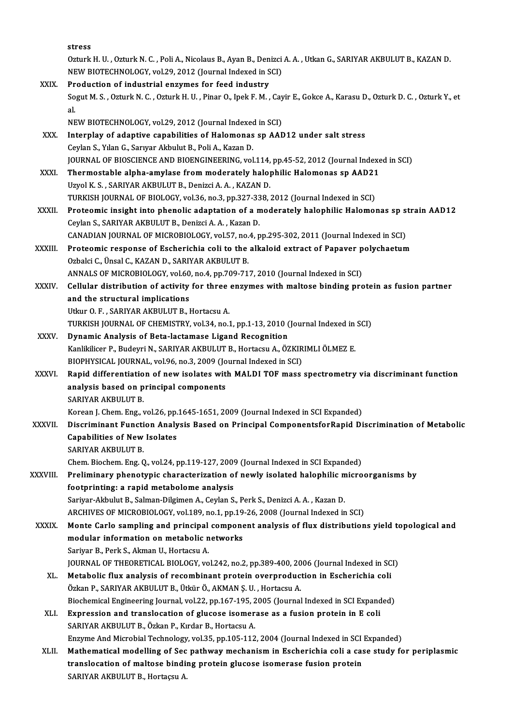|              | stress                                                                                                                                         |
|--------------|------------------------------------------------------------------------------------------------------------------------------------------------|
|              | Ozturk H. U., Ozturk N. C., Poli A., Nicolaus B., Ayan B., Denizci A. A., Utkan G., SARIYAR AKBULUT B., KAZAN D.                               |
|              | NEW BIOTECHNOLOGY, vol.29, 2012 (Journal Indexed in SCI)                                                                                       |
| XXIX.        | Production of industrial enzymes for feed industry                                                                                             |
|              | Sogut M. S., Ozturk N. C., Ozturk H. U., Pinar O., Ipek F. M., Cayir E., Gokce A., Karasu D., Ozturk D. C., Ozturk Y., et                      |
|              | al.                                                                                                                                            |
|              | NEW BIOTECHNOLOGY, vol.29, 2012 (Journal Indexed in SCI)                                                                                       |
| XXX.         | Interplay of adaptive capabilities of Halomonas sp AAD12 under salt stress                                                                     |
|              | Ceylan S., Yılan G., Sarıyar Akbulut B., Poli A., Kazan D.                                                                                     |
|              | JOURNAL OF BIOSCIENCE AND BIOENGINEERING, vol.114, pp.45-52, 2012 (Journal Indexed in SCI)                                                     |
| XXXI.        | Thermostable alpha-amylase from moderately halophilic Halomonas sp AAD21                                                                       |
|              | Uzyol K. S., SARIYAR AKBULUT B., Denizci A. A., KAZAN D.                                                                                       |
|              | TURKISH JOURNAL OF BIOLOGY, vol.36, no.3, pp.327-338, 2012 (Journal Indexed in SCI)                                                            |
| <b>XXXII</b> | Proteomic insight into phenolic adaptation of a moderately halophilic Halomonas sp strain AAD12                                                |
|              | Ceylan S., SARIYAR AKBULUT B., Denizci A. A., Kazan D.                                                                                         |
|              | CANADIAN JOURNAL OF MICROBIOLOGY, vol.57, no.4, pp.295-302, 2011 (Journal Indexed in SCI)                                                      |
| XXXIII.      | Proteomic response of Escherichia coli to the alkaloid extract of Papaver polychaetum                                                          |
|              | Ozbalci C., Ünsal C., KAZAN D., SARIYAR AKBULUT B.                                                                                             |
|              | ANNALS OF MICROBIOLOGY, vol.60, no.4, pp.709-717, 2010 (Journal Indexed in SCI)                                                                |
| XXXIV.       | Cellular distribution of activity for three enzymes with maltose binding protein as fusion partner                                             |
|              | and the structural implications<br>Utkur O.F., SARIYAR AKBULUT B., Hortacsu A.                                                                 |
|              | TURKISH JOURNAL OF CHEMISTRY, vol.34, no.1, pp.1-13, 2010 (Journal Indexed in SCI)                                                             |
| XXXV.        | Dynamic Analysis of Beta-lactamase Ligand Recognition                                                                                          |
|              | Kanlikilicer P., Budeyri N., SARIYAR AKBULUT B., Hortacsu A., ÖZKIRIMLI ÖLMEZ E.                                                               |
|              | BIOPHYSICAL JOURNAL, vol.96, no.3, 2009 (Journal Indexed in SCI)                                                                               |
| <b>XXXVI</b> | Rapid differentiation of new isolates with MALDI TOF mass spectrometry via discriminant function                                               |
|              | analysis based on principal components                                                                                                         |
|              | SARIYAR AKBULUT B.                                                                                                                             |
|              | Korean J. Chem. Eng., vol.26, pp.1645-1651, 2009 (Journal Indexed in SCI Expanded)                                                             |
| XXXVII.      | Discriminant Function Analysis Based on Principal ComponentsforRapid Discrimination of Metabolic                                               |
|              | <b>Capabilities of New Isolates</b>                                                                                                            |
|              | SARIYAR AKBULUT B.                                                                                                                             |
|              | Chem. Biochem. Eng. Q., vol.24, pp.119-127, 2009 (Journal Indexed in SCI Expanded)                                                             |
| XXXVIII.     | Preliminary phenotypic characterization of newly isolated halophilic microorganisms by                                                         |
|              | footprinting: a rapid metabolome analysis                                                                                                      |
|              | Sariyar-Akbulut B., Salman-Dilgimen A., Ceylan S., Perk S., Denizci A. A., Kazan D.                                                            |
|              | ARCHIVES OF MICROBIOLOGY, vol.189, no.1, pp.19-26, 2008 (Journal Indexed in SCI)                                                               |
| XXXIX.       | Monte Carlo sampling and principal component analysis of flux distributions yield topological and<br>modular information on metabolic networks |
|              | Sariyar B., Perk S., Akman U., Hortacsu A.                                                                                                     |
|              | JOURNAL OF THEORETICAL BIOLOGY, vol.242, no.2, pp.389-400, 2006 (Journal Indexed in SCI)                                                       |
| XL.          | Metabolic flux analysis of recombinant protein overproduction in Escherichia coli                                                              |
|              | Özkan P., SARIYAR AKBULUT B., Ütkür Ö., AKMAN Ş. U., Hortacsu A.                                                                               |
|              | Biochemical Engineering Journal, vol.22, pp.167-195, 2005 (Journal Indexed in SCI Expanded)                                                    |
| XLI.         | Expression and translocation of glucose isomerase as a fusion protein in E coli                                                                |
|              | SARIYAR AKBULUT B., Özkan P., Kırdar B., Hortacsu A.                                                                                           |
|              | Enzyme And Microbial Technology, vol.35, pp.105-112, 2004 (Journal Indexed in SCI Expanded)                                                    |
| XLII.        | Mathematical modelling of Sec pathway mechanism in Escherichia coli a case study for periplasmic                                               |
|              | translocation of maltose binding protein glucose isomerase fusion protein                                                                      |
|              | SARIYAR AKBULUT B., Hortaçsu A.                                                                                                                |
|              |                                                                                                                                                |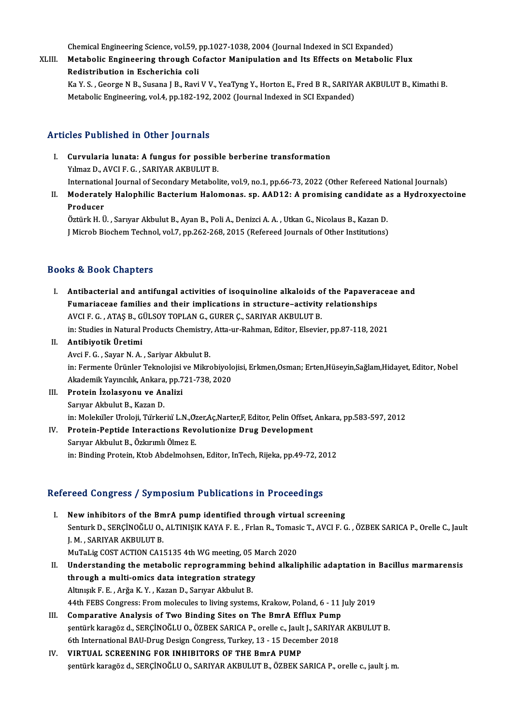Chemical Engineering Science, vol.59, pp.1027-1038, 2004 (Journal Indexed in SCI Expanded)<br>Metabolia Engineering through Cofestor Manipulation and Its Effects on Metabolia

Chemical Engineering Science, vol.59, pp.1027-1038, 2004 (Journal Indexed in SCI Expanded)<br>XLIII. Metabolic Engineering through Cofactor Manipulation and Its Effects on Metabolic Flux Chemical Engineering Science, vol.59,<br>Metabolic Engineering through Constanting Coline<br>Redistribution in Escherichia coline<br>Ka.V.S., Coorge N.B. Susana L.B. Bovi Metabolic Engineering through Cofactor Manipulation and Its Effects on Metabolic Flux<br>Redistribution in Escherichia coli<br>Ka Y. S. , George N B., Susana J B., Ravi V V., YeaTyng Y., Horton E., Fred B R., SARIYAR AKBULUT B.,

Redistribution in Escherichia coli<br>Ka Y. S. , George N B., Susana J B., Ravi V V., YeaTyng Y., Horton E., Fred B R., SARIY.<br>Metabolic Engineering, vol.4, pp.182-192, 2002 (Journal Indexed in SCI Expanded) Metabolic Engineering, vol.4, pp.182-192, 2002 (Journal Indexed in SCI Expanded)<br>Articles Published in Other Journals

- I. Curvularia lunata: A fungus for possible berberine transformation Yılmaz D., AVCI F. G., SARIYAR AKBULUT B. Curvularia lunata: A fungus for possible berberine transformation<br>Yılmaz D., AVCI F. G. , SARIYAR AKBULUT B.<br>International Journal of Secondary Metabolite, vol.9, no.1, pp.66-73, 2022 (Other Refereed National Journals)<br>Med Yılmaz D., AVCI F. G. , SARIYAR AKBULUT B.<br>International Journal of Secondary Metabolite, vol.9, no.1, pp.66-73, 2022 (Other Refereed National Journals)<br>II. Moderately Halophilic Bacterium Halomonas. sp. AAD12: A promi
- Internation<br>Moderate<br>Producer<br>Östürk H. Ü Moderately Halophilic Bacterium Halomonas. sp. AAD12: A promising candidate a<br>Producer<br>Öztürk H. Ü. , Sarıyar Akbulut B., Ayan B., Poli A., Denizci A. A. , Utkan G., Nicolaus B., Kazan D.<br>I Mianeb Bioshem Teshnel vel 7. np

Producer<br>Öztürk H. Ü. , Sarıyar Akbulut B., Ayan B., Poli A., Denizci A. A. , Utkan G., Nicolaus B., Kazan D.<br>J Microb Biochem Technol, vol.7, pp.262-268, 2015 (Refereed Journals of Other Institutions)

## Books&Book Chapters

I. Antibacterial and antifungal activities of isoquinoline alkaloids of the Papaveraceae and Fumariaceae families and their implications in structure–activity relationships Antibacterial and antifungal activities of isoquinoline alkaloids of the anariaceae families and their implications in structure–activity<br>AVCI F. G. , ATAŞ B., GÜLSOY TOPLAN G., GURER Ç., SARIYAR AKBULUT B.<br>in: Studies in Fumariaceae families and their implications in structure–activity relationships<br>AVCI F. G. , ATAŞ B., GÜLSOY TOPLAN G., GURER Ç., SARIYAR AKBULUT B.<br>in: Studies in Natural Products Chemistry, Atta-ur-Rahman, Editor, Elsevi AVCI F. G. , ATAŞ B., GÜLSOY TOPLAN G., GURER Ç., SARIYAR AKBULUT B.<br>in: Studies in Natural Products Chemistry, Atta-ur-Rahman, Editor, Elsevie<br>II. **Antibiyotik Üretimi**<br>Avci F. G. , Savar N. A. , Sariyar Akbulut B.

in: Studies in Natural Products Chemistry<br>**Antibiyotik Üretimi**<br>Avci F. G. , Sayar N. A. , Sariyar Akbulut B.<br>in: Fermente Ürünler Telmeleijsi ve Milm Antibiyotik Üretimi<br>Avci F. G. , Sayar N. A. , Sariyar Akbulut B.<br>in: Fermente Ürünler Teknolojisi ve Mikrobiyolojisi, Erkmen,Osman; Erten,Hüseyin,Sağlam,Hidayet, Editor, Nobel<br>Akademik Yayıngılık, Ankana, np.721,729, 2020 Avci F. G. , Sayar N. A. , Sariyar Akbulut B.<br>in: Fermente Ürünler Teknolojisi ve Mikrobiyolc<br>Akademik Yayıncılık, Ankara, pp.721-738, 2020<br>Protein İzelesyenu ve Anelisi in: Fermente Ürünler Teknolojisi<br>Akademik Yayıncılık, Ankara, pp.7<br>III. Protein İzolasyonu ve Analizi

- Akademik Yayıncılık, Ankara, pp.721-738, 2020<br>III. Protein İzolasyonu ve Analizi<br>Sarıyar Akbulut B., Kazan D. Protein İzolasyonu ve Analizi<br>Sarıyar Akbulut B., Kazan D.<br>in: Moleküler Uroloji, Türkeriü L.N.,Özer,Aç,Narter,F, Editor, Pelin Offset, Ankara, pp.583-597, 2012<br>Protein Bontide Interactione Bevolutioniae Daus Develenment Sarıyar Akbulut B., Kazan D.<br>in: Moleküler Uroloji, Türkeriü L.N.,Ozer,Aç,Narter,F, Editor, Pelin Offset,<br>IV. Protein-Peptide Interactions Revolutionize Drug Development<br>Sanyan Althulut B. Örlanmlı Ölmer F.
- in: Moleküler Uroloji, Türkeriü L.N.,Oz<br><mark>Protein-Peptide Interactions Rev</mark><br>Sarıyar Akbulut B., Özkırımlı Ölmez E.<br>in: Binding Protein, Ktab Abdelmahas IV. Protein-Peptide Interactions Revolutionize Drug Development<br>Sarıyar Akbulut B., Özkırımlı Ölmez E.<br>in: Binding Protein, Ktob Abdelmohsen, Editor, InTech, Rijeka, pp.49-72, 2012

## Refereed Congress / Symposium Publications in Proceedings

- efereed Congress / Symposium Publications in Proceedings<br>I. New inhibitors of the BmrA pump identified through virtual screening<br>Sentual D. SERCINOČLUO ALTINISIK KAVA E E. Erlan B. Temesic T. AVCLE C Senturk D., SERÇİNOĞLU O., ALTINIŞIK KAYA F. E. , Frlan R., Tomasic T., AVCI F. G. , ÖZBEK SARICA P., Orelle C., Jault<br>Senturk D., SERÇİNOĞLU O., ALTINIŞIK KAYA F. E. , Frlan R., Tomasic T., AVCI F. G. , ÖZBEK SARICA P., O New inhibitors of the Bm<br>Senturk D., SERÇİNOĞLU O.,<br>J. M., SARIYAR AKBULUT B.<br>MuTal iz COST ACTION CA1. Senturk D., SERÇİNOĞLU O., ALTINIŞIK KAYA F. E. , Frlan R., Tomas<br>J. M. , SARIYAR AKBULUT B.<br>MuTaLig COST ACTION CA15135 4th WG meeting, 05 March 2020<br>Understanding the metabolis rennegromming bobind alkeli I. M. , SARIYAR AKBULUT B.<br>MuTaLig COST ACTION CA15135 4th WG meeting, 05 March 2020<br>II. Understanding the metabolic reprogramming behind alkaliphilic adaptation in Bacillus marmarensis MuTaLig COST ACTION CA15135 4th WG meeting, 05 N<br>Understanding the metabolic reprogramming be<br>through a multi-omics data integration strategy<br>Altmerk E.E. Aržo K.V., Kazan D. Sarwan Altmurt P. Understanding the metabolic reprogramming b<br>through a multi-omics data integration strategy<br>Altınışık F. E. , Arğa K.Y. , Kazan D., Sarıyar Akbulut B.<br>44th EEBS Congress: Erom mologyles to living system Altınışık F. E. , Arğa K. Y. , Kazan D., Sarıyar Akbulut B.<br>44th FEBS Congress: From molecules to living systems, Krakow, Poland, 6 - 11 July 2019 Altmışık F. E. , Arğa K. Y. , Kazan D., Sarıyar Akbulut B.<br>44th FEBS Congress: From molecules to living systems, Krakow, Poland, 6 - 11 ]<br>III. Comparative Analysis of Two Binding Sites on The BmrA Efflux Pump<br>continue ling
- şentürk karagöz d., SERÇİNOĞLU O., ÖZBEK SARICA P., orelle c., Jault J., SARIYAR AKBULUT B.<br>6th International BAU-Drug Design Congress, Turkey, 13 15 December 2018 Comparative Analysis of Two Binding Sites on The BmrA Efflux Pump<br>sentürk karagöz d., SERÇİNOĞLU O., ÖZBEK SARICA P., orelle c., Jault J., SARIYA!<br>6th International BAU-Drug Design Congress, Turkey, 13 - 15 December 2018<br>V
- IV. VIRTUAL SCREENING FOR INHIBITORS OF THE BmrA PUMP sentürk karagöz d., SERÇİNOĞLU O., SARIYAR AKBULUT B., ÖZBEK SARICA P., orelle c., jault j. m.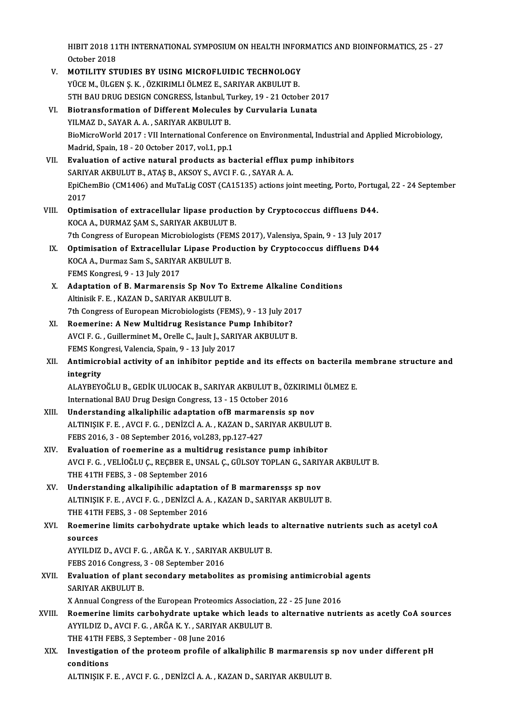HIBIT 2018 11TH INTERNATIONAL SYMPOSIUM ON HEALTH INFORMATICS AND BIOINFORMATICS, 25 - 27<br>Ostabar 2018 HIBIT 2018 11<br>October 2018<br>MOTU UTV ST HIBIT 2018 11TH INTERNATIONAL SYMPOSIUM ON HEALTH INFOR<br>October 2018<br>V. MOTILITY STUDIES BY USING MICROFLUIDIC TECHNOLOGY<br>VICE M. IU CEN S. V. ÖZKIRIMLI ÖLMEZ E. SARIVAR AKRIJLITER

|        | October 2018                                                                                                              |
|--------|---------------------------------------------------------------------------------------------------------------------------|
| V.     | MOTILITY STUDIES BY USING MICROFLUIDIC TECHNOLOGY                                                                         |
|        | YÜCE M., ÜLGEN Ş. K., ÖZKIRIMLI ÖLMEZ E., SARIYAR AKBULUT B.                                                              |
|        | 5TH BAU DRUG DESIGN CONGRESS, İstanbul, Turkey, 19 - 21 October 2017                                                      |
| VI.    | Biotransformation of Different Molecules by Curvularia Lunata                                                             |
|        | YILMAZ D., SAYAR A. A., SARIYAR AKBULUT B.                                                                                |
|        | BioMicroWorld 2017 : VII International Conference on Environmental, Industrial and Applied Microbiology,                  |
|        | Madrid, Spain, 18 - 20 October 2017, vol.1, pp.1                                                                          |
| VII.   | Evaluation of active natural products as bacterial efflux pump inhibitors                                                 |
|        | SARIYAR AKBULUT B., ATAŞ B., AKSOY S., AVCI F. G., SAYAR A. A.                                                            |
|        | EpiChemBio (CM1406) and MuTaLig COST (CA15135) actions joint meeting, Porto, Portugal, 22 - 24 September                  |
|        | 2017                                                                                                                      |
| VIII.  | Optimisation of extracellular lipase production by Cryptococcus diffluens D44.                                            |
|        | KOCA A., DURMAZ SAM S., SARIYAR AKBULUT B.                                                                                |
|        | 7th Congress of European Microbiologists (FEMS 2017), Valensiya, Spain, 9 - 13 July 2017                                  |
| IX.    | Optimisation of Extracellular Lipase Production by Cryptococcus diffluens D44                                             |
|        | KOCA A., Durmaz Sam S., SARIYAR AKBULUT B.                                                                                |
|        | FEMS Kongresi, 9 - 13 July 2017                                                                                           |
| X.     | Adaptation of B. Marmarensis Sp Nov To Extreme Alkaline Conditions                                                        |
|        | Altinisik F. E., KAZAN D., SARIYAR AKBULUT B.                                                                             |
|        | 7th Congress of European Microbiologists (FEMS), 9 - 13 July 2017                                                         |
| XI.    | Roemerine: A New Multidrug Resistance Pump Inhibitor?                                                                     |
|        | AVCI F. G., Guillerminet M., Orelle C., Jault J., SARIYAR AKBULUT B.                                                      |
|        | FEMS Kongresi, Valencia, Spain, 9 - 13 July 2017                                                                          |
| XII.   | Antimicrobial activity of an inhibitor peptide and its effects on bacterila membrane structure and                        |
|        | integrity                                                                                                                 |
|        | ALAYBEYOĞLU B., GEDİK ULUOCAK B., SARIYAR AKBULUT B., ÖZKIRIMLI ÖLMEZ E.                                                  |
|        | International BAU Drug Design Congress, 13 - 15 October 2016                                                              |
| XIII.  | Understanding alkaliphilic adaptation ofB marmarensis sp nov                                                              |
|        | ALTINIŞIK F. E., AVCI F. G., DENİZCİ A. A., KAZAN D., SARIYAR AKBULUT B.                                                  |
| XIV.   | FEBS 2016, 3 - 08 September 2016, vol 283, pp 127-427<br>Evaluation of roemerine as a multidrug resistance pump inhibitor |
|        | AVCI F. G., VELİOĞLU Ç., REÇBER E., UNSAL Ç., GÜLSOY TOPLAN G., SARIYAR AKBULUT B.                                        |
|        | THE 41TH FEBS, 3 - 08 September 2016                                                                                      |
| XV.    | Understanding alkalipihilic adaptation of B marmarensss sp nov                                                            |
|        | ALTINIŞIK F. E., AVCI F. G., DENİZCİ A. A., KAZAN D., SARIYAR AKBULUT B.                                                  |
|        | THE 41TH FEBS, 3 - 08 September 2016                                                                                      |
| XVI.   | Roemerine limits carbohydrate uptake which leads to alternative nutrients such as acetyl coA                              |
|        | sources                                                                                                                   |
|        | AYYILDIZ D., AVCI F. G., ARĞA K. Y., SARIYAR AKBULUT B.                                                                   |
|        | FEBS 2016 Congress, 3 - 08 September 2016                                                                                 |
| XVII.  | Evaluation of plant secondary metabolites as promising antimicrobial agents                                               |
|        | SARIYAR AKBULUT B.                                                                                                        |
|        | X Annual Congress of the European Proteomics Association, 22 - 25 June 2016                                               |
| XVIII. | Roemerine limits carbohydrate uptake which leads to alternative nutrients as acetly CoA sources                           |
|        | AYYILDIZ D., AVCI F. G., ARĞA K. Y., SARIYAR AKBULUT B.                                                                   |
|        | THE 41TH FEBS, 3 September - 08 June 2016                                                                                 |
| XIX.   | Investigation of the proteom profile of alkaliphilic B marmarensis sp nov under different pH                              |
|        | conditions                                                                                                                |
|        | ALTINIȘIK F. E., AVCI F. G., DENIZCI A. A., KAZAN D., SARIYAR AKBULUT B.                                                  |
|        |                                                                                                                           |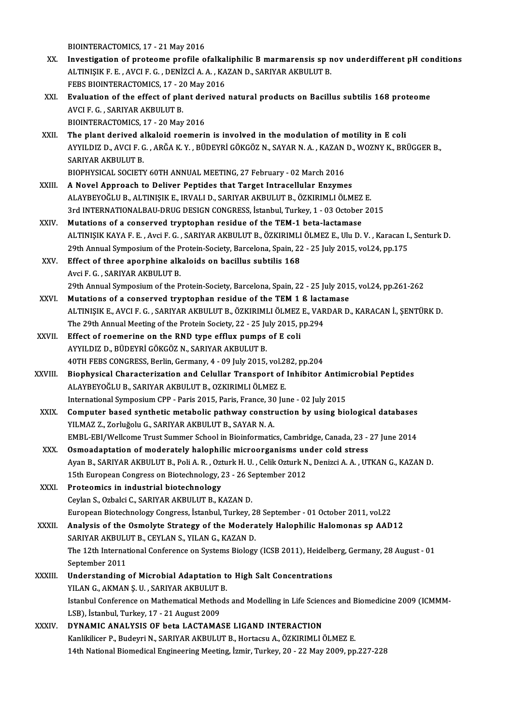BIOINTERACTOMICS, 17 - 21 May 2016

- XX. Investigation of proteome profile ofalkaliphilic Bmarmarensis sp nov underdifferent pH conditions BIOINTERACTOMICS, 17 - 21 May 2016<br>Investigation of proteome profile ofalkaliphilic B marmarensis sp n<br>ALTINIŞIK F. E. , AVCI F. G. , DENİZCİ A. A. , KAZAN D., SARIYAR AKBULUT B.<br>FERS PIOINTERACTOMICS 17 - 20 May 2016 Investigation of proteome profile ofalka<br>ALTINIȘIK F. E. , AVCI F. G. , DENIZCI A. A. , KA<br>FEBS BIOINTERACTOMICS, 17 - 20 May 2016<br>Fualustion of the offest of plant denived ALTINIŞIK F. E. , AVCI F. G. , DENİZCİ A. A. , KAZAN D., SARIYAR AKBULUT B.<br>FEBS BIOINTERACTOMICS, 17 - 20 May 2016<br>XXI. Byaluation of the effect of plant derived natural products on Bacillus subtilis 168 proteome<br>AVCLE C.
- FEBS BIOINTERACTOMICS, 17 20 May 2016<br>Evaluation of the effect of plant derived<br>AVCI F. G., SARIYAR AKBULUT B.<br>BIOINTERACTOMICS, 17 20 May 2016 Evaluation of the effect of plant der<br>AVCI F. G. , SARIYAR AKBULUT B.<br>BIOINTERACTOMICS, 17 - 20 May 2016<br>The plant derived alkaleid reemerii
- XXII. The plant derived alkaloid roemerin is involved in the modulation of motility in E coli BIOINTERACTOMICS, 17 - 20 May 2016<br>The plant derived alkaloid roemerin is involved in the modulation of motility in E coli<br>AYYILDIZ D., AVCI F. G. , ARĞA K. Y. , BÜDEYRİ GÖKGÖZ N., SAYAR N. A. , KAZAN D., WOZNY K., BRÜGGER The plant derived a<br>AYYILDIZ D., AVCI F. C<br>SARIYAR AKBULUT B.<br>PIOPHYSICAL SOCIETY AYYILDIZ D., AVCI F. G. , ARĞA K. Y. , BÜDEYRİ GÖKGÖZ N., SAYAR N. A. , KAZAN<br>SARIYAR AKBULUT B.<br>BIOPHYSICAL SOCIETY 60TH ANNUAL MEETING, 27 February - 02 March 2016<br>A Novel Annreach to Deliver Bentides that Terset Intrese SARIYAR AKBULUT B.<br>BIOPHYSICAL SOCIETY 60TH ANNUAL MEETING, 27 February - 02 March 2016<br>XXIII. A Novel Approach to Deliver Peptides that Target Intracellular Enzymes
	-
- ALAYBEYOĞLUB.,ALTINIŞIKE., IRVALID.,SARIYARAKBULUTB.,ÖZKIRIMLIÖLMEZ E. A Novel Approach to Deliver Peptides that Target Intracellular Enzymes<br>ALAYBEYOĞLU B., ALTINIŞIK E., IRVALI D., SARIYAR AKBULUT B., ÖZKIRIMLI ÖLMEZ E.<br>3rd INTERNATIONALBAU-DRUG DESIGN CONGRESS, İstanbul, Turkey, 1 - 03 Oct
- ALAYBEYOĞLU B., ALTINIŞIK E., IRVALI D., SARIYAR AKBULUT B., ÖZKIRIMLI ÖLMEZ<br>3rd INTERNATIONALBAU-DRUG DESIGN CONGRESS, İstanbul, Turkey, 1 03 October<br>XXIV. Mutations of a conserved tryptophan residue of the TEM-1 beta-l 3rd INTERNATIONALBAU-DRUG DESIGN CONGRESS, İstanbul, Turkey, 1 - 03 October 2015<br>Mutations of a conserved tryptophan residue of the TEM-1 beta-lactamase<br>ALTINIŞIK KAYA F. E. , Avci F. G. , SARIYAR AKBULUT B., ÖZKIRIMLI ÖLM Mutations of a conserved tryptophan residue of the TEM-1 beta-lactamase<br>ALTINIŞIK KAYA F. E. , Avci F. G. , SARIYAR AKBULUT B., ÖZKIRIMLI ÖLMEZ E., Ulu D. V. , Karacan I.<br>29th Annual Symposium of the Protein-Society, Barce ALTINIŞIK KAYA F. E., Avci F. G., SARIYAR AKBULUT B., ÖZKIRIMLI<br>29th Annual Symposium of the Protein-Society, Barcelona, Spain, 22<br>XXV. Effect of three aporphine alkaloids on bacillus subtilis 168
- 29th Annual Symposium of the Protein-Society, Barcelona, Spain, 22 25 July 2015, vol.24, pp.175<br>Effect of three aporphine alkaloids on bacillus subtilis 168<br>Avci F. G. , SARIYAR AKBULUT B. Effect of three aporphine alkaloids on bacillus subtilis 168<br>Avci F. G. , SARIYAR AKBULUT B.<br>29th Annual Symposium of the Protein-Society, Barcelona, Spain, 22 - 25 July 2015, vol.24, pp.261-262<br>Mutations of a sepperwed tr Avci F. G. , SARIYAR AKBULUT B.<br>29th Annual Symposium of the Protein-Society, Barcelona, Spain, 22 - 25 July 201<br>XXVI. Mutations of a conserved tryptophan residue of the TEM 1 ß lactamase
- 29th Annual Symposium of the Protein-Society, Barcelona, Spain, 22 25 July 2015, vol.24, pp.261-262<br>Mutations of a conserved tryptophan residue of the TEM 1 ß lactamase<br>ALTINIŞIK E., AVCI F. G. , SARIYAR AKBULUT B., ÖZKI Mutations of a conserved tryptophan residue of the TEM 1 ß lactamase<br>ALTINIȘIK E., AVCI F. G. , SARIYAR AKBULUT B., ÖZKIRIMLI ÖLMEZ E., VARDAR D., KARACAN İ., ŞENTÜRK D.<br>The 29th Annual Meeting of the Protein Society, 22 -ALTINIŞIK E., AVCI F. G., SARIYAR AKBULUT B., ÖZKIRIMLI ÖLMEZ<br>The 29th Annual Meeting of the Protein Society, 22 - 25 July 2015, p<br>XXVII. Effect of roemerine on the RND type efflux pumps of E coli<br>AVVII DIZ D. PÜDEVRİ GÖKG
- The 29th Annual Meeting of the Protein Society, 22 25 June<br>Effect of roemerine on the RND type efflux pumps<br>AYYILDIZ D., BÜDEYRİ GÖKGÖZ N., SARIYAR AKBULUT B.<br>40TH EERS CONCRESS, Berlin Cermany 4 09 July 2015 Effect of roemerine on the RND type efflux pumps of E coli<br>AYYILDIZ D., BÜDEYRİ GÖKGÖZ N., SARIYAR AKBULUT B.<br>40TH FEBS CONGRESS, Berlin, Germany, 4 - 09 July 2015, vol.282, pp.204<br>Bionhygical Characterization and Colullar
- AYYILDIZ D., BÜDEYRİ GÖKGÖZ N., SARIYAR AKBULUT B.<br>40TH FEBS CONGRESS, Berlin, Germany, 4 09 July 2015, vol.282, pp.204<br>XXVIII. Biophysical Characterization and Celullar Transport of Inhibitor Antimicrobial Peptides<br>ALAY 40TH FEBS CONGRESS, Berlin, Germany, 4 - 09 July 2015, vol.2:<br>Biophysical Characterization and Celullar Transport of<br>ALAYBEYOĞLU B., SARIYAR AKBULUT B., OZKIRIMLI ÖLMEZ E.<br>International Symposium CBB - Beris 2015, Beris Fr Biophysical Characterization and Celullar Transport of Inhibitor Antim<br>ALAYBEYOĞLU B., SARIYAR AKBULUT B., OZKIRIMLI ÖLMEZ E.<br>International Symposium CPP - Paris 2015, Paris, France, 30 June - 02 July 2015<br>Computer based s ALAYBEYOĞLU B., SARIYAR AKBULUT B., OZKIRIMLI ÖLMEZ E.<br>International Symposium CPP - Paris 2015, Paris, France, 30 June - 02 July 2015<br>XXIX. Computer based synthetic metabolic pathway construction by using biological datab
	- International Symposium CPP Paris 2015, Paris, France, 30<br>Computer based synthetic metabolic pathway constr<br>YILMAZ Z., Zorluğolu G., SARIYAR AKBULUT B., SAYAR N. A.<br>EMBL EPL(Wellsome Trust Summer School in Bioinfermatic Computer based synthetic metabolic pathway construction by using biological databases<br>YILMAZ Z., Zorluğolu G., SARIYAR AKBULUT B., SAYAR N. A.<br>EMBL-EBI/Wellcome Trust Summer School in Bioinformatics, Cambridge, Canada, 23 YILMAZ Z., Zorluğolu G., SARIYAR AKBULUT B., SAYAR N. A.<br>EMBL-EBI/Wellcome Trust Summer School in Bioinformatics, Cambridge, Canada, 23 -<br>XXX. Osmoadaptation of moderately halophilic microorganisms under cold stress
	- EMBL-EBI/Wellcome Trust Summer School in Bioinformatics, Cambridge, Canada, 23 27 June 2014<br>Osmoadaptation of moderately halophilic microorganisms under cold stress<br>Ayan B., SARIYAR AKBULUT B., Poli A. R. , Ozturk H. U. Osmoadaptation of moderately halophilic microorganisms un<br>Ayan B., SARIYAR AKBULUT B., Poli A. R. , Ozturk H. U. , Celik Ozturk N<br>15th European Congress on Biotechnology, 23 - 26 September 2012<br>Proteomise in industrial bio Ayan B., SARIYAR AKBULUT B., Poli A. R., Ozt<br>15th European Congress on Biotechnology, 2<br>XXXI. Proteomics in industrial biotechnology<br>Caylan S. Orbaki G. SARIVAR AKBULUT B. K
	- 15th European Congress on Biotechnology, 23 26 September 2012<br>Proteomics in industrial biotechnology<br>Ceylan S., Ozbalci C., SARIYAR AKBULUT B., KAZAN D.
- EuropeanBiotechnologyCongress, İstanbul,Turkey,28 September -01October 2011,vol.22 Ceylan S., Ozbalci C., SARIYAR AKBULUT B., KAZAN D.<br>European Biotechnology Congress, İstanbul, Turkey, 28 September - 01 October 2011, vol.22<br>XXXII. Analysis of the Osmolyte Strategy of the Moderately Halophilic Halomonas European Biotechnology Congress, İstanbul, Turkey, 2<br>Analysis of the Osmolyte Strategy of the Modera<br>SARIYAR AKBULUT B., CEYLAN S., YILAN G., KAZAN D.<br>The 12th International Conference on Systems Biology
- Analysis of the Osmolyte Strategy of the Moderately Halophilic Halomonas sp AAD12<br>SARIYAR AKBULUT B., CEYLAN S., YILAN G., KAZAN D.<br>The 12th International Conference on Systems Biology (ICSB 2011), Heidelberg, Germany, 28 SARIYAR AKBULL<br>The 12th Internat<br>September 2011<br>Understanding The 12th International Conference on Systems Biology (ICSB 2011), Heidelb<br>September 2011<br>XXXIII. Understanding of Microbial Adaptation to High Salt Concentrations<br>VILAN C AKMAN S.U. SARIVAR AKRULUT R
- September 2011<br>Understanding of Microbial Adaptation t<br>YILAN G., AKMAN Ş.U. , SARIYAR AKBULUT B.<br>Istanbul Conference en Mathematical Methods Istanbul Conference on Mathematical Methods and Modelling in Life Sciences and Biomedicine 2009 (ICMMM-LSB), İstanbul, Turkey, 17 - 21 August 2009 YILAN G., AKMAN S. U., SARIYAR AKBULUT B. Istanbul Conference on Mathematical Methods and Modelling in Life Scien<br>LSB), İstanbul, Turkey, 17 - 21 August 2009<br>XXXIV. DYNAMIC ANALYSIS OF beta LACTAMASE LIGAND INTERACTION<br>Kaplitlison B. Budovni N. SARIYAR AKBULUT B.
- LSB), İstanbul, Turkey, 17 21 August 2009<br>DYNAMIC ANALYSIS OF beta LACTAMASE LIGAND INTERACTION<br>Kanlikilicer P., Budeyri N., SARIYAR AKBULUT B., Hortacsu A., ÖZKIRIMLI ÖLMEZ E.<br>14th National Biomodical Engineering Meetin Kanlikilicer P., Budeyri N., SARIYAR AKBULUT B., Hortacsu A., ÖZKIRIMLI ÖLMEZ E.<br>14th National Biomedical Engineering Meeting, İzmir, Turkey, 20 - 22 May 2009, pp.227-228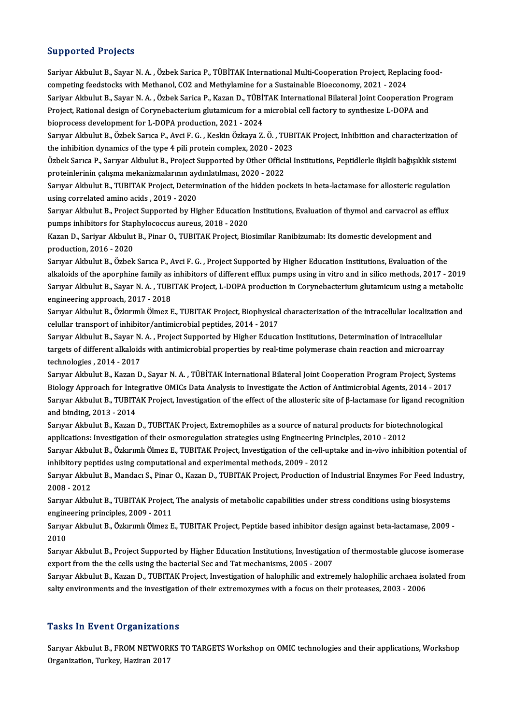#### Supported Projects

Supported Projects<br>Sariyar Akbulut B., Sayar N. A. , Özbek Sarica P., TÜBİTAK International Multi-Cooperation Project, Replacing food-<br>sampating foodstacks uith Mathanal, CO2 and Mathulaming for a Sustainable Biossenemu, 2 cupper countrygoces<br>Sariyar Akbulut B., Sayar N. A. , Özbek Sarica P., TÜBİTAK International Multi-Cooperation Project, Replac<br>Competing feedstocks with Methanol, CO2 and Methylamine for a Sustainable Bioeconomy, 2021 - 20 Sariyar Akbulut B., Sayar N. A. , Özbek Sarica P., TÜBİTAK International Multi-Cooperation Project, Replacing food-<br>competing feedstocks with Methanol, CO2 and Methylamine for a Sustainable Bioeconomy, 2021 - 2024<br>Sariyar competing feedstocks with Methanol, CO2 and Methylamine for a Sustainable Bioeconomy, 2021 - 2024<br>Sariyar Akbulut B., Sayar N. A. , Özbek Sarica P., Kazan D., TÜBİTAK International Bilateral Joint Cooperation Pr<br>Project, R Sariyar Akbulut B., Sayar N. A. , Özbek Sarica P., Kazan D., TÜBİ'<br>Project, Rational design of Corynebacterium glutamicum for a m<br>bioprocess development for L-DOPA production, 2021 - 2024<br>Sarvan Alshulut B., Özbek Sarva B. Project, Rational design of Corynebacterium glutamicum for a microbial cell factory to synthesize L-DOPA and<br>bioprocess development for L-DOPA production, 2021 - 2024<br>Sarıyar Akbulut B., Özbek Sarıca P., Avci F. G. , Keski

bioprocess development for L-DOPA production, 2021 - 2024<br>Sarıyar Akbulut B., Özbek Sarıca P., Avci F. G. , Keskin Özkaya Z. Ö. , TUBI<br>the inhibition dynamics of the type 4 pili protein complex, 2020 - 2023<br>Özbek Sarıca B. Sarıyar Akbulut B., Özbek Sarıca P., Avci F. G. , Keskin Özkaya Z. Ö. , TUBITAK Project, Inhibition and characterization of<br>the inhibition dynamics of the type 4 pili protein complex, 2020 - 2023<br>Özbek Sarıca P., Sarıyar A the inhibition dynamics of the type 4 pili protein complex, 2020 - 2023<br>Özbek Sarıca P., Sarıyar Akbulut B., Project Supported by Other Official Institutions, Peptidlerle ilişkili bağışıklık sistemi

proteinlerinin çalışma mekanizmalarının aydınlatılması, 2020 - 2022

Sarıyar Akbulut B., TUBITAK Project, Determination of the hidden pockets in beta-lactamase for allosteric regulation<br>using correlated amino acids , 2019 - 2020 Sarıyar Akbulut B., TUBITAK Project, Determination of the hidden pockets in beta-lactamase for allosteric regulation<br>using correlated amino acids , 2019 - 2020<br>Sarıyar Akbulut B., Project Supported by Higher Education Inst

using correlated amino acids , 2019 - 2020<br>Sarıyar Akbulut B., Project Supported by Higher Education<br>pumps inhibitors for Staphylococcus aureus, 2018 - 2020<br>Karan D. Sariyar Akbulut B. Binar O. TUBITAK Project. Bi Sarıyar Akbulut B., Project Supported by Higher Education Institutions, Evaluation of thymol and carvacrol as e<br>pumps inhibitors for Staphylococcus aureus, 2018 - 2020<br>Kazan D., Sariyar Akbulut B., Pinar O., TUBITAK Projec

pumps inhibitors for Staphylococcus aureus, 2018 - 2020<br>Kazan D., Sariyar Akbulut B., Pinar O., TUBITAK Project, Biosimilar Ranibizumab: Its domestic development and<br>production, 2016 - 2020 Kazan D., Sariyar Akbulut B., Pinar O., TUBITAK Project, Biosimilar Ranibizumab: Its domestic development and<br>production, 2016 - 2020<br>Sarıyar Akbulut B., Özbek Sarıca P., Avci F. G. , Project Supported by Higher Education

production, 2016 - 2020<br>Sarıyar Akbulut B., Özbek Sarıca P., Avci F. G. , Project Supported by Higher Education Institutions, Evaluation of the<br>alkaloids of the aporphine family as inhibitors of different efflux pumps usin Sarıyar Akbulut B., Özbek Sarıca P., Avci F. G. , Project Supported by Higher Education Institutions, Evaluation of the<br>alkaloids of the aporphine family as inhibitors of different efflux pumps using in vitro and in silico alkaloids of the aporphine family as<br>Sarıyar Akbulut B., Sayar N. A. , TUBI<br>engineering approach, 2017 - 2018<br>Saruyar Akbulut B. Örlanmlı Ölmer E Sarıyar Akbulut B., Sayar N. A. , TUBITAK Project, L-DOPA production in Corynebacterium glutamicum using a metabolic<br>engineering approach, 2017 - 2018<br>Sarıyar Akbulut B., Özkırımlı Ölmez E., TUBITAK Project, Biophysical ch

engineering approach, 2017 - 2018<br>Sarıyar Akbulut B., Özkırımlı Ölmez E., TUBITAK Project, Biophysical<br>celullar transport of inhibitor/antimicrobial peptides, 2014 - 2017<br>Sarurar Akbulut B. Savar N. A., Project Supported b Sarıyar Akbulut B., Özkırımlı Ölmez E., TUBITAK Project, Biophysical characterization of the intracellular localization<br>celullar transport of inhibitor/antimicrobial peptides, 2014 - 2017<br>Sarıyar Akbulut B., Sayar N. A. ,

celullar transport of inhibitor/antimicrobial peptides, 2014 - 2017<br>Sarıyar Akbulut B., Sayar N. A. , Project Supported by Higher Education Institutions, Determination of intracellular<br>targets of different alkaloids with a Sarıyar Akbulut B., Sayar N.<br>targets of different alkaloid<br>technologies , 2014 - 2017<br>Saruar Altbulut B. Kazar D. targets of different alkaloids with antimicrobial properties by real-time polymerase chain reaction and microarray<br>technologies , 2014 - 2017<br>Sarıyar Akbulut B., Kazan D., Sayar N. A. , TÜBİTAK International Bilateral Join

technologies , 2014 - 2017<br>Sarıyar Akbulut B., Kazan D., Sayar N. A. , TÜBİTAK International Bilateral Joint Cooperation Program Project, Systems<br>Biology Approach for Integrative OMICs Data Analysis to Investigate the Acti Sarıyar Akbulut B., Kazan D., Sayar N. A. , TÜBİTAK International Bilateral Joint Cooperation Program Project, Systems<br>Biology Approach for Integrative OMICs Data Analysis to Investigate the Action of Antimicrobial Agents Biology Approach for Inte<br>Sarıyar Akbulut B., TUBITA<br>and binding, 2013 - 2014<br>Sarurar Akbulut B., Kazan Sarıyar Akbulut B., TUBITAK Project, Investigation of the effect of the allosteric site of β-lactamase for ligand recog<br>and binding, 2013 - 2014<br>Sarıyar Akbulut B., Kazan D., TUBITAK Project, Extremophiles as a source of and binding, 2013 - 2014<br>Sarıyar Akbulut B., Kazan D., TUBITAK Project, Extremophiles as a source of natural products for biotechnological

Sarıyar Akbulut B., Kazan D., TUBITAK Project, Extremophiles as a source of natural products for biotechnological<br>applications: Investigation of their osmoregulation strategies using Engineering Principles, 2010 - 2012<br>Sar

applications: Investigation of their osmoregulation strategies using Engineering Principles, 2010 - 2012<br>Sarıyar Akbulut B., Özkırımlı Ölmez E., TUBITAK Project, Investigation of the cell-uptake and in-vivo inhit<br>inhibitor Sarıyar Akbulut B., Özkırımlı Ölmez E., TUBITAK Project, Investigation of the cell-uptake and in-vivo inhibition potential of<br>inhibitory peptides using computational and experimental methods, 2009 - 2012<br>Sarıyar Akbulut B.

inhibitory pe<br>Sarıyar Akbu<br>2008 - 2012<br>Sarurar Akbu Sarıyar Akbulut B., Mandacı S., Pinar O., Kazan D., TUBITAK Project, Production of Industrial Enzymes For Feed Indus<br>2008 - 2012<br>Sarıyar Akbulut B., TUBITAK Project, The analysis of metabolic capabilities under stress cond 2008 - 2012<br>Sarıyar Akbulut B., TUBITAK Project, The analysis of metabolic capabilities under stress conditions using biosystems

engineering principles, 2009 - 2011

Sarıyar Akbulut B., Özkırımlı Ölmez E., TUBITAK Project, Peptide based inhibitor design against beta-lactamase, 2009 -<br>2010 Sarıyar Akbulut B., Özkırımlı Ölmez E., TUBITAK Project, Peptide based inhibitor design against beta-lactamase, 2009 -<br>2010<br>Sarıyar Akbulut B., Project Supported by Higher Education Institutions, Investigation of thermosta

2010<br>Sarıyar Akbulut B., Project Supported by Higher Education Institutions, Investigatio<br>export from the the cells using the bacterial Sec and Tat mechanisms, 2005 - 2007<br>Server Althulut B. Karan D., TUBITAK Project, Inve Sarıyar Akbulut B., Project Supported by Higher Education Institutions, Investigation of thermostable glucose isomerase<br>export from the the cells using the bacterial Sec and Tat mechanisms, 2005 - 2007<br>Sarıyar Akbulut B.,

export from the the cells using the bacterial Sec and Tat mechanisms, 2005 - 2007<br>Sarıyar Akbulut B., Kazan D., TUBITAK Project, Investigation of halophilic and extremely halophilic archaea isolated from<br>salty environments

#### **Tasks In Event Organizations**

Tasks In Event Organizations<br>Sarıyar Akbulut B., FROM NETWORKS TO TARGETS Workshop on OMIC technologies and their applications, Workshop<br>Organization, Turkey, Hagiran 2017 Pression of Summatrion<br>Sariyar Akbulut B., FROM NETWOR<br>Organization, Turkey, Haziran 2017